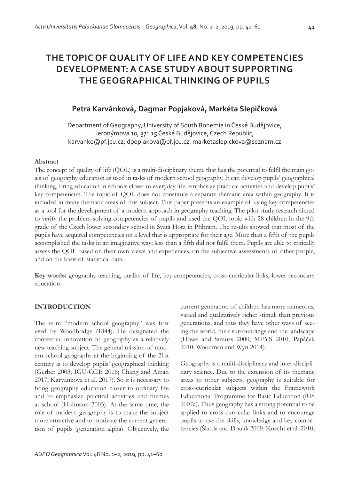# **Petra Karvánková, Dagmar Popjaková, Markéta Slepičková**

Department of Geography, University of South Bohemia in České Budějovice, Jeronýmova 10, 371 15 České Budějovice, Czech Republic, karvanko@pf.jcu.cz, dpopjakova@pf.jcu.cz, marketaslepickova@seznam.cz

### **Abstract**

The concept of quality of life (QOL) is a multi-disciplinary theme that has the potential to fulfi l the main goals of geography education as used in tasks of modern school geography. It can develop pupils' geographical thinking, bring education in schools closer to everyday life, emphasize practical activities and develop pupils' key competencies. The topic of QOL does not constitute a separate thematic area within geography. It is included in many thematic areas of this subject. This paper presents an example of using key competencies as a tool for the development of a modern approach in geography teaching. The pilot study research aimed to verify the problem-solving competencies of pupils and used the QOL topic with 28 children in the 9th grade of the Czech lower secondary school in Svatá Hora in Příbram. The results showed that most of the pupils have acquired competencies on a level that is appropriate for their age. More than a fifth of the pupils accomplished the tasks in an imaginative way; less than a fifth did not fulfil them. Pupils are able to critically assess the QOL based on their own views and experiences, on the subjective assessments of other people, and on the basis of statistical data.

**Key words:** geography teaching, quality of life, key competencies, cross-curricular links, lower secondary education

### **INTRODUCTION**

The term "modern school geography" was first used by Woodbridge (1844). He designated the contextual innovation of geography as a relatively new teaching subject. The general mission of modern school geography at the beginning of the 21st century is to develop pupils' geographical thinking (Gerber 2003; IGU-CGE 2016; Chang and Aman 2017; Karvánková et al. 2017). So it is necessary to bring geography education closer to ordinary life and to emphasize practical activities and themes at school (Hofmann 2003). At the same time, the role of modern geography is to make the subject more attractive and to motivate the current generation of pupils (generation alpha). Objectively, the

current generation of children has more numerous, varied and qualitatively richer stimuli than previous generations, and thus they have other ways of seeing the world, their surroundings and the landscape (Howe and Strauss 2000; MEYS 2010; Papáček 2010; Woodman and Wyn 2014).

Geography is a multi-disciplinary and inter-disciplinary science. Due to the extension of its thematic areas to other subjects, geography is suitable for cross-curricular subjects within the Framework Educational Programme for Basic Education (RIS 2007a). Thus geography has a strong potential to be applied to cross-curricular links and to encourage pupils to use the skills, knowledge and key competencies (Škoda and Doulík 2009; Knecht et al. 2010;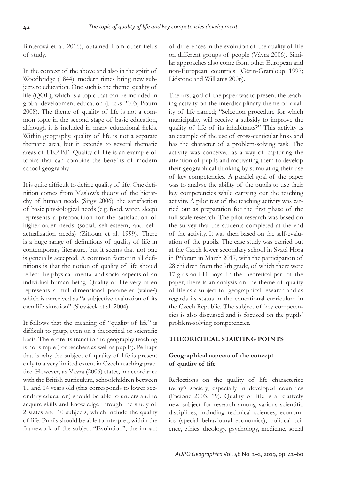Binterová et al. 2016), obtained from other fields of study.

In the context of the above and also in the spirit of Woodbridge (1844), modern times bring new subjects to education. One such is the theme; quality of life (QOL), which is a topic that can be included in global development education (Hicks 2003; Bourn 2008). The theme of quality of life is not a common topic in the second stage of basic education, although it is included in many educational fields. Within geography, quality of life is not a separate thematic area, but it extends to several thematic areas of FEP BE. Quality of life is an example of topics that can combine the benefits of modern school geography.

It is quite difficult to define quality of life. One definition comes from Maslow's theory of the hierarchy of human needs (Sirgy 2006): the satisfaction of basic physiological needs (e.g. food, water, sleep) represents a precondition for the satisfaction of higher-order needs (social, self-esteem, and selfactualization needs) (Zittoun et al. 1999). There is a huge range of definitions of quality of life in contemporary literature, but it seems that not one is generally accepted. A common factor in all definitions is that the notion of quality of life should reflect the physical, mental and social aspects of an individual human being. Quality of life very often represents a multidimensional parameter (value?) which is perceived as "a subjective evaluation of its own life situation" (Slováček et al. 2004).

It follows that the meaning of "quality of life" is difficult to grasp, even on a theoretical or scientific basis. Therefore its transition to geography teaching is not simple (for teachers as well as pupils). Perhaps that is why the subject of quality of life is present only to a very limited extent in Czech teaching practice. However, as Vávra (2006) states, in accordance with the British curriculum, schoolchildren between 11 and 14 years old (this corresponds to lower secondary education) should be able to understand to acquire skills and knowledge through the study of 2 states and 10 subjects, which include the quality of life. Pupils should be able to interpret, within the framework of the subject "Evolution", the impact

of differences in the evolution of the quality of life on different groups of people (Vávra 2006). Similar approaches also come from other European and non-European countries (Gérin-Grataloup 1997; Lidstone and Williams 2006).

The first goal of the paper was to present the teaching activity on the interdisciplinary theme of quality of life named; "Selection procedure for which municipality will receive a subsidy to improve the quality of life of its inhabitants?" This activity is an example of the use of cross-curricular links and has the character of a problem-solving task. The activity was conceived as a way of capturing the attention of pupils and motivating them to develop their geographical thinking by stimulating their use of key competencies. A parallel goal of the paper was to analyse the ability of the pupils to use their key competencies while carrying out the teaching activity. A pilot test of the teaching activity was carried out as preparation for the first phase of the full-scale research. The pilot research was based on the survey that the students completed at the end of the activity. It was then based on the self-evaluation of the pupils. The case study was carried out at the Czech lower secondary school in Svatá Hora in Příbram in March 2017, with the participation of 28 children from the 9th grade, of which there were 17 girls and 11 boys. In the theoretical part of the paper, there is an analysis on the theme of quality of life as a subject for geographical research and as regards its status in the educational curriculum in the Czech Republic. The subject of key competencies is also discussed and is focused on the pupils' problem-solving competencies.

### **THEORETICAL STARTING POINTS**

### **Geographical aspects of the concept of quality of life**

Reflections on the quality of life characterize today's society, especially in developed countries (Pacione 2003: 19). Quality of life is a relatively new subject for research among various scientific disciplines, including technical sciences, economics (special behavioural economics), political science, ethics, theology, psychology, medicine, social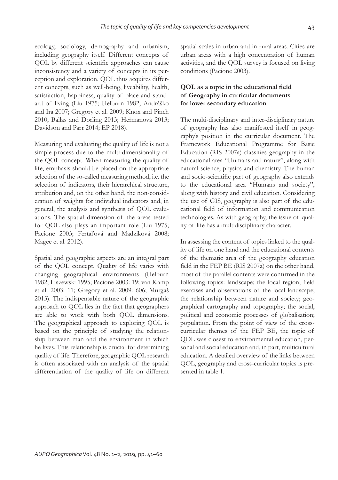ecology, sociology, demography and urbanism, including geography itself. Different concepts of QOL by different scientific approaches can cause inconsistency and a variety of concepts in its perception and exploration. QOL thus acquires different concepts, such as well-being, liveability, health, satisfaction, happiness, quality of place and standard of living (Liu 1975; Helburn 1982; Andráško and Ira 2007; Gregory et al. 2009; Knox and Pinch 2010; Ballas and Dorling 2013; Heřmanová 2013; Davidson and Parr 2014; EP 2018).

Measuring and evaluating the quality of life is not a simple process due to the multi-dimensionality of the QOL concept. When measuring the quality of life, emphasis should be placed on the appropriate selection of the so-called measuring method, i.e. the selection of indicators, their hierarchical structure, attribution and, on the other hand, the non-consideration of weights for individual indicators and, in general, the analysis and synthesis of QOL evaluations. The spatial dimension of the areas tested for QOL also plays an important role (Liu 1975; Pacione 2003; Fertaľová and Madziková 2008; Magee et al. 2012).

Spatial and geographic aspects are an integral part of the QOL concept. Quality of life varies with changing geographical environments (Helburn 1982; Liszewski 1995; Pacione 2003: 19; van Kamp et al. 2003: 11; Gregory et al. 2009: 606; Murgaš 2013). The indispensable nature of the geographic approach to QOL lies in the fact that geographers are able to work with both QOL dimensions. The geographical approach to exploring QOL is based on the principle of studying the relationship between man and the environment in which he lives. This relationship is crucial for determining quality of life. Therefore, geographic QOL research is often associated with an analysis of the spatial differentiation of the quality of life on different spatial scales in urban and in rural areas. Cities are urban areas with a high concentration of human activities, and the QOL survey is focused on living conditions (Pacione 2003).

# **QOL** as a topic in the educational field **of Geography in curricular documents for lower secondary education**

The multi-disciplinary and inter-disciplinary nature of geography has also manifested itself in geography's position in the curricular document. The Framework Educational Programme for Basic Education (RIS 2007a) classifies geography in the educational area "Humans and nature", along with natural science, physics and chemistry. The human and socio-scientific part of geography also extends to the educational area "Humans and society", along with history and civil education. Considering the use of GIS, geography is also part of the educational field of information and communication technologies. As with geography, the issue of quality of life has a multidisciplinary character.

In assessing the content of topics linked to the quality of life on one hand and the educational contents of the thematic area of the geography education field in the FEP BE (RIS 2007a) on the other hand, most of the parallel contents were confirmed in the following topics: landscape; the local region; field exercises and observations of the local landscape; the relationship between nature and society; geographical cartography and topography; the social, political and economic processes of globalisation; population. From the point of view of the crosscurricular themes of the FEP BE, the topic of QOL was closest to environmental education, personal and social education and, in part, multicultural education. A detailed overview of the links between QOL, geography and cross-curricular topics is presented in table 1.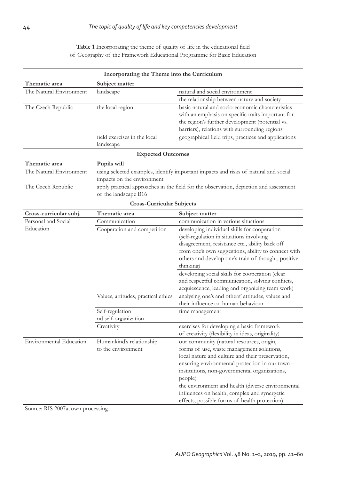Table 1 Incorporating the theme of quality of life in the educational field of Geography of the Framework Educational Programme for Basic Education

| Incorporating the Theme into the Curriculum |                                     |                                                                                       |  |  |  |
|---------------------------------------------|-------------------------------------|---------------------------------------------------------------------------------------|--|--|--|
| Thematic area                               | Subject matter                      |                                                                                       |  |  |  |
| The Natural Environment                     | landscape                           | natural and social environment                                                        |  |  |  |
|                                             |                                     | the relationship between nature and society                                           |  |  |  |
| The Czech Republic                          | the local region                    | basic natural and socio-economic characteristics                                      |  |  |  |
|                                             |                                     | with an emphasis on specific traits important for                                     |  |  |  |
|                                             |                                     | the region's further development (potential vs.                                       |  |  |  |
|                                             |                                     | barriers), relations with surrounding regions                                         |  |  |  |
|                                             | field exercises in the local        | geographical field trips, practices and applications                                  |  |  |  |
|                                             | landscape                           |                                                                                       |  |  |  |
|                                             | <b>Expected Outcomes</b>            |                                                                                       |  |  |  |
| Thematic area                               | Pupils will                         |                                                                                       |  |  |  |
| The Natural Environment                     |                                     | using selected examples, identify important impacts and risks of natural and social   |  |  |  |
|                                             | impacts on the environment          |                                                                                       |  |  |  |
| The Czech Republic                          |                                     | apply practical approaches in the field for the observation, depiction and assessment |  |  |  |
|                                             | of the landscape B16                |                                                                                       |  |  |  |
| <b>Cross-Curricular Subjects</b>            |                                     |                                                                                       |  |  |  |
| Cross-curricular subj.                      | Thematic area                       | Subject matter                                                                        |  |  |  |
| Personal and Social                         | Communication                       | communication in various situations                                                   |  |  |  |
| Education                                   | Cooperation and competition         | developing individual skills for cooperation                                          |  |  |  |
|                                             |                                     | (self-regulation in situations involving                                              |  |  |  |
|                                             |                                     | disagreement, resistance etc., ability back off                                       |  |  |  |
|                                             |                                     | from one's own suggestions, ability to connect with                                   |  |  |  |
|                                             |                                     | others and develop one's train of thought, positive                                   |  |  |  |
|                                             |                                     | thinking)                                                                             |  |  |  |
|                                             |                                     | developing social skills for cooperation (clear                                       |  |  |  |
|                                             |                                     | and respectful communication, solving conflicts,                                      |  |  |  |
|                                             |                                     | acquiescence, leading and organizing team work)                                       |  |  |  |
|                                             | Values, attitudes, practical ethics | analysing one's and others' attitudes, values and                                     |  |  |  |
|                                             |                                     | their influence on human behaviour                                                    |  |  |  |
|                                             | Self-regulation                     | time management                                                                       |  |  |  |
|                                             | nd self-organization                |                                                                                       |  |  |  |
|                                             | Creativity                          | exercises for developing a basic framework                                            |  |  |  |
|                                             |                                     | of creativity (flexibility in ideas, originality)                                     |  |  |  |
| <b>Environmental Education</b>              | Humankind's relationship            | our community (natural resources, origin,                                             |  |  |  |
|                                             | to the environment                  | forms of use, waste management solutions,                                             |  |  |  |
|                                             |                                     | local nature and culture and their preservation,                                      |  |  |  |
|                                             |                                     | ensuring environmental protection in our town -                                       |  |  |  |
|                                             |                                     | institutions, non-governmental organizations,                                         |  |  |  |
|                                             |                                     | people)                                                                               |  |  |  |
|                                             |                                     | the environment and health (diverse environmental                                     |  |  |  |
|                                             |                                     | influences on health, complex and synergetic                                          |  |  |  |
|                                             |                                     | effects, possible forms of health protection)                                         |  |  |  |

Source: RIS 2007a; own processing.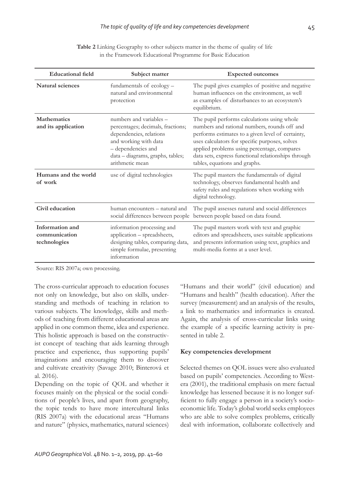| <b>Educational field</b>                         | Subject matter                                                                                                                                                                                | <b>Expected outcomes</b>                                                                                                                                                                                                                                                                                                                  |
|--------------------------------------------------|-----------------------------------------------------------------------------------------------------------------------------------------------------------------------------------------------|-------------------------------------------------------------------------------------------------------------------------------------------------------------------------------------------------------------------------------------------------------------------------------------------------------------------------------------------|
| Natural sciences                                 | fundamentals of ecology -<br>natural and environmental<br>protection                                                                                                                          | The pupil gives examples of positive and negative<br>human influences on the environment, as well<br>as examples of disturbances to an ecosystem's<br>equilibrium.                                                                                                                                                                        |
| <b>Mathematics</b><br>and its application        | numbers and variables -<br>percentages; decimals, fractions;<br>dependencies, relations<br>and working with data<br>- dependencies and<br>data - diagrams, graphs, tables;<br>arithmetic mean | The pupil performs calculations using whole<br>numbers and rational numbers, rounds off and<br>performs estimates to a given level of certainty,<br>uses calculators for specific purposes, solves<br>applied problems using percentage, compares<br>data sets, express functional relationships through<br>tables, equations and graphs. |
| Humans and the world<br>of work                  | use of digital technologies                                                                                                                                                                   | The pupil masters the fundamentals of digital<br>technology, observes fundamental health and<br>safety rules and regulations when working with<br>digital technology.                                                                                                                                                                     |
| Civil education                                  | human encounters – natural and<br>social differences between people                                                                                                                           | The pupil assesses natural and social differences<br>between people based on data found.                                                                                                                                                                                                                                                  |
| Information and<br>communication<br>technologies | information processing and<br>application - spreadsheets,<br>designing tables, comparing data,<br>simple formulae, presenting<br>information                                                  | The pupil masters work with text and graphic<br>editors and spreadsheets, uses suitable applications<br>and presents information using text, graphics and<br>multi-media forms at a user level.                                                                                                                                           |

**Table 2** Linking Geography to other subjects matter in the theme of quality of life in the Framework Educational Programme for Basic Education

Source: RIS 2007a; own processing.

The cross-curricular approach to education focuses not only on knowledge, but also on skills, understanding and methods of teaching in relation to various subjects. The knowledge, skills and methods of teaching from different educational areas are applied in one common theme, idea and experience. This holistic approach is based on the constructivist concept of teaching that aids learning through practice and experience, thus supporting pupils' imaginations and encouraging them to discover and cultivate creativity (Savage 2010; Binterová et al. 2016).

Depending on the topic of QOL and whether it focuses mainly on the physical or the social conditions of people's lives, and apart from geography, the topic tends to have more intercultural links (RIS 2007a) with the educational areas "Humans and nature" (physics, mathematics, natural sciences) "Humans and their world" (civil education) and "Humans and health" (health education). After the survey (measurement) and an analysis of the results, a link to mathematics and informatics is created. Again, the analysis of cross-curricular links using the example of a specific learning activity is presented in table 2.

### **Key competencies development**

Selected themes on QOL issues were also evaluated based on pupils' competencies. According to Westera (2001), the traditional emphasis on mere factual knowledge has lessened because it is no longer sufficient to fully engage a person in a society's socioeconomic life. Today's global world seeks employees who are able to solve complex problems, critically deal with information, collaborate collectively and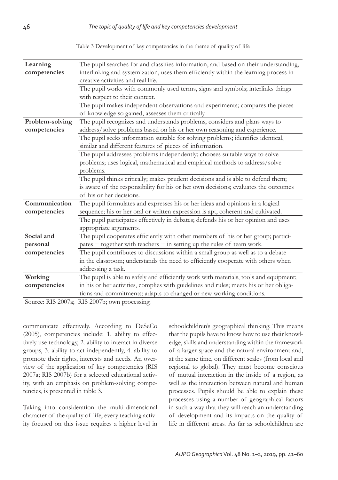Table 3 Development of key competencies in the theme of quality of life

| Learning        | The pupil searches for and classifies information, and based on their understanding,   |  |  |
|-----------------|----------------------------------------------------------------------------------------|--|--|
| competencies    | interlinking and systemization, uses them efficiently within the learning process in   |  |  |
|                 | creative activities and real life.                                                     |  |  |
|                 | The pupil works with commonly used terms, signs and symbols; interlinks things         |  |  |
|                 | with respect to their context.                                                         |  |  |
|                 | The pupil makes independent observations and experiments; compares the pieces          |  |  |
|                 | of knowledge so gained, assesses them critically.                                      |  |  |
| Problem-solving | The pupil recognizes and understands problems, considers and plans ways to             |  |  |
| competencies    | address/solve problems based on his or her own reasoning and experience.               |  |  |
|                 | The pupil seeks information suitable for solving problems; identifies identical,       |  |  |
|                 | similar and different features of pieces of information.                               |  |  |
|                 | The pupil addresses problems independently; chooses suitable ways to solve             |  |  |
|                 | problems; uses logical, mathematical and empirical methods to address/solve            |  |  |
|                 | problems.                                                                              |  |  |
|                 | The pupil thinks critically; makes prudent decisions and is able to defend them;       |  |  |
|                 | is aware of the responsibility for his or her own decisions; evaluates the outcomes    |  |  |
|                 | of his or her decisions.                                                               |  |  |
| Communication   | The pupil formulates and expresses his or her ideas and opinions in a logical          |  |  |
| competencies    | sequence; his or her oral or written expression is apt, coherent and cultivated.       |  |  |
|                 | The pupil participates effectively in debates; defends his or her opinion and uses     |  |  |
|                 | appropriate arguments.                                                                 |  |  |
| Social and      | The pupil cooperates efficiently with other members of his or her group; partici-      |  |  |
| personal        | pates - together with teachers - in setting up the rules of team work.                 |  |  |
| competencies    | The pupil contributes to discussions within a small group as well as to a debate       |  |  |
|                 | in the classroom; understands the need to efficiently cooperate with others when       |  |  |
|                 | addressing a task.                                                                     |  |  |
| Working         | The pupil is able to safely and efficiently work with materials, tools and equipment;  |  |  |
| competencies    | in his or her activities, complies with guidelines and rules; meets his or her obliga- |  |  |
|                 | tions and commitments; adapts to changed or new working conditions.                    |  |  |
|                 |                                                                                        |  |  |

Source: RIS 2007a; RIS 2007b; own processing.

communicate effectively. According to DeSeCo (2005), competencies include: 1. ability to effectively use technology, 2. ability to interact in diverse groups, 3. ability to act independently, 4. ability to promote their rights, interests and needs. An overview of the application of key competencies (RIS 2007a; RIS 2007b) for a selected educational activity, with an emphasis on problem-solving competencies, is presented in table 3.

Taking into consideration the multi-dimensional character of the quality of life, every teaching activity focused on this issue requires a higher level in schoolchildren's geographical thinking. This means that the pupils have to know how to use their knowledge, skills and understanding within the framework of a larger space and the natural environment and, at the same time, on different scales (from local and regional to global). They must become conscious of mutual interaction in the inside of a region, as well as the interaction between natural and human processes. Pupils should be able to explain these processes using a number of geographical factors in such a way that they will reach an understanding of development and its impacts on the quality of life in different areas. As far as schoolchildren are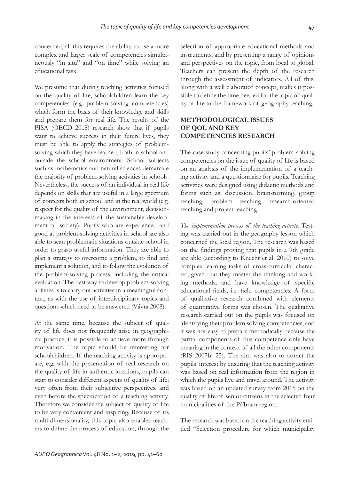concerned, all this requires the ability to use a more complex and larger scale of competencies simultaneously "in situ" and "on time" while solving an educational task.

We presume that during teaching activities focused on the quality of life, schoolchildren learn the key competencies (e.g. problem-solving competencies) which form the basis of their knowledge and skills and prepare them for real life. The results of the PISA (OECD 2018) research show that if pupils want to achieve success in their future lives, they must be able to apply the strategies of problemsolving which they have learned, both in school and outside the school environment. School subjects such as mathematics and natural sciences demarcate the majority of problem-solving activities in schools. Nevertheless, the success of an individual in real life depends on skills that are useful in a large spectrum of contexts both in school and in the real world (e.g. respect for the quality of the environment, decisionmaking in the interests of the sustainable development of society). Pupils who are experienced and good at problem-solving activities in school are also able to scan problematic situations outside school in order to grasp useful information. They are able to plan a strategy to overcome a problem, to find and implement a solution, and to follow the evolution of the problem-solving process, including the critical evaluation. The best way to develop problem-solving abilities is to carry out activities in a meaningful context, as with the use of interdisciplinary topics and questions which need to be answered (Vávra 2008).

At the same time, because the subject of quality of life does not frequently arise in geographical practice, it is possible to achieve more through motivation. The topic should be interesting for schoolchildren. If the teaching activity is appropriate, e.g. with the presentation of real research on the quality of life in authentic locations, pupils can start to consider different aspects of quality of life; very often from their subjective perspectives, and even before the specification of a teaching activity. Therefore we consider the subject of quality of life to be very convenient and inspiring. Because of its multi-dimensionality, this topic also enables teachers to define the process of education, through the selection of appropriate educational methods and instruments, and by presenting a range of opinions and perspectives on the topic, from local to global. Teachers can present the depth of the research through the assessment of indicators. All of this, along with a well elaborated concept, makes it possible to define the time needed for the topic of quality of life in the framework of geography teaching.

# **METHODOLOGICAL ISSUES OF QOL AND KEY COMPETENCIES RESEARCH**

The case study concerning pupils' problem-solving competencies on the issue of quality of life is based on an analysis of the implementation of a teaching activity and a questionnaire for pupils. Teaching activities were designed using didactic methods and forms such as: discussion, brainstorming, group teaching, problem teaching, research-oriented teaching and project teaching.

*The implementation process of the teaching activity.* Testing was carried out in the geography lesson which concerned the local region. The research was based on the findings proving that pupils in a 9th grade are able (according to Knecht et al. 2010) to solve complex learning tasks of cross-curricular character, given that they master the thinking and working methods, and have knowledge of specific educational fields, i.e. field competencies. A form of qualitative research combined with elements of quantitative forms was chosen. The qualitative research carried out on the pupils was focused on identifying their problem solving competencies, and it was not easy to prepare methodically because the partial components of this competence only have meaning in the context of all the other components (RIS 2007b: 25). The aim was also to attract the pupils' interest by ensuring that the teaching activity was based on real information from the region in which the pupils live and travel around. The activity was based on an updated survey from 2015 on the quality of life of senior citizens in the selected four municipalities of the Příbram region.

The research was based on the teaching activity entitled "Selection procedure for which municipality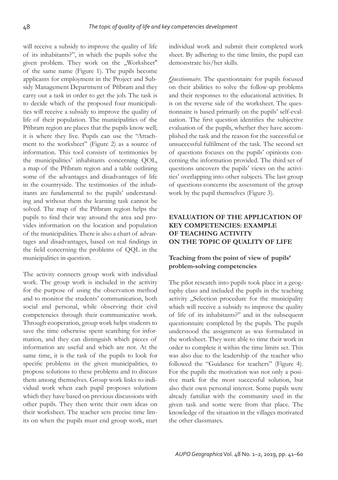will receive a subsidy to improve the quality of life of its inhabitants?", in which the pupils solve the given problem. They work on the "Worksheet" of the same name (Figure 1). The pupils become applicants for employment in the Project and Subsidy Management Department of Příbram and they carry out a task in order to get the job. The task is to decide which of the proposed four municipalities will receive a subsidy to improve the quality of life of their population. The municipalities of the Příbram region are places that the pupils know well; it is where they live. Pupils can use the "Attachment to the worksheet" (Figure 2) as a source of information. This tool consists of testimonies by the municipalities' inhabitants concerning QOL, a map of the Příbram region and a table outlining some of the advantages and disadvantages of life in the countryside. The testimonies of the inhabitants are fundamental to the pupils' understanding and without them the learning task cannot be solved. The map of the Příbram region helps the pupils to find their way around the area and provides information on the location and population of the municipalities. There is also a chart of advantages and disadvantages, based on real findings in the field concerning the problems of QQL in the municipalities in question.

The activity connects group work with individual work. The group work is included in the activity for the purpose of using the observation method and to monitor the students' communication, both social and personal, while observing their civil competencies through their communicative work. Through cooperation, group work helps students to save the time otherwise spent searching for information, and they can distinguish which pieces of information are useful and which are not. At the same time, it is the task of the pupils to look for specific problems in the given municipalities, to propose solutions to these problems and to discuss them among themselves. Group work links to individual work when each pupil proposes solutions which they have based on previous discussions with other pupils. They then write their own ideas on their worksheet. The teacher sets precise time limits on when the pupils must end group work, start individual work and submit their completed work sheet. By adhering to the time limits, the pupil can demonstrate his/her skills.

*Questionnaire.* The questionnaire for pupils focused on their abilities to solve the follow-up problems and their responses to the educational activities. It is on the reverse side of the worksheet. The questionnaire is based primarily on the pupils' self-evaluation. The first question identifies the subjective evaluation of the pupils, whether they have accomplished the task and the reason for the successful or unsuccessful fulfilment of the task. The second set of questions focuses on the pupils' opinions concerning the information provided. The third set of questions uncovers the pupils' views on the activities' overlapping into other subjects. The last group of questions concerns the assessment of the group work by the pupil themselves (Figure 3).

### **EVALUATION OF THE APPLICATION OF KEY COMPETENCIES: EXAMPLE OF TEACHING ACTIVITY ON THE TOPIC OF QUALITY OF LIFE**

# **Teaching from the point of view of pupils' problem-solving competencies**

The pilot research into pupils took place in a geography class and included the pupils in the teaching activity "Selection procedure for the municipality which will receive a subsidy to improve the quality of life of its inhabitants?" and in the subsequent questionnaire completed by the pupils. The pupils understood the assignment as was formulated in the worksheet. They were able to time their work in order to complete it within the time limits set. This was also due to the leadership of the teacher who followed the "Guidance for teachers" (Figure 4). For the pupils the motivation was not only a positive mark for the most successful solution, but also their own personal interest. Some pupils were already familiar with the community used in the given task and some were from that place. The knowledge of the situation in the villages motivated the other classmates.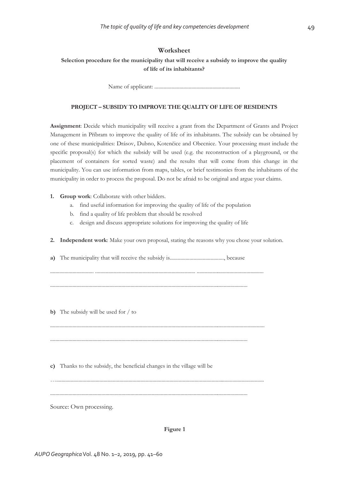#### **Worksheet**

**Selection procedure for the municipality that will receive a subsidy to improve the quality of life of its inhabitants?** 

Name of applicant: .................................................................

#### **PROJECT – SUBSIDY TO IMPROVE THE QUALITY OF LIFE OF RESIDENTS**

**Assignment**: Decide which municipality will receive a grant from the Department of Grants and Project Management in Pőíbram to improve the quality of life of its inhabitants. The subsidy can be obtained by one of these municipalities: Drásov, Dubno, Kotenčice and Obecnice. Your processing must include the specific proposal(s) for which the subsidy will be used (e.g. the reconstruction of a playground, or the placement of containers for sorted waste) and the results that will come from this change in the municipality. You can use information from maps, tables, or brief testimonies from the inhabitants of the municipality in order to process the proposal. Do not be afraid to be original and argue your claims.

- **1. Group work**: Collaborate with other bidders.
	- a. find useful information for improving the quality of life of the population
	- b. find a quality of life problem that should be resolved
	- c. design and discuss appropriate solutions for improving the quality of life

**2. Independent work**: Make your own proposal, stating the reasons why you chose your solution.

**a)** The municipality that will receive the subsidy is........................................., because

................................. ............................................................................ ...................................................

......................................................................................................................................................

**b)** The subsidy will be used for / to

**c)** Thanks to the subsidy, the beneficial changes in the village will be

......................................................................................................................................................

Source: Own processing.

#### **Figure 1**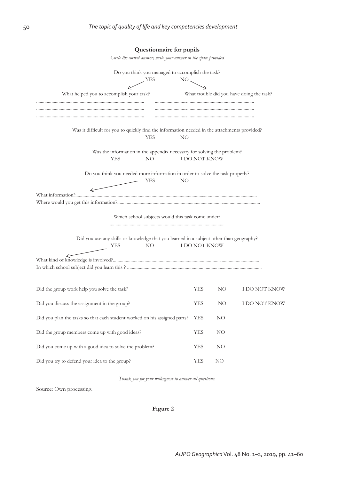| Questionnaire for pupils                                                                                                     |               |    |                                           |  |  |  |
|------------------------------------------------------------------------------------------------------------------------------|---------------|----|-------------------------------------------|--|--|--|
| Circle the correct answer, write your answer in the space provided                                                           |               |    |                                           |  |  |  |
| Do you think you managed to accomplish the task?                                                                             |               |    |                                           |  |  |  |
| YES<br>$NO_{\smallsetminus}$                                                                                                 |               |    |                                           |  |  |  |
| What helped you to accomplish your task?                                                                                     |               |    | What trouble did you have doing the task? |  |  |  |
| Was it difficult for you to quickly find the information needed in the attachments provided?                                 |               |    |                                           |  |  |  |
| YES<br>NO                                                                                                                    |               |    |                                           |  |  |  |
| Was the information in the appendix necessary for solving the problem?                                                       |               |    |                                           |  |  |  |
| <b>YES</b><br>NO                                                                                                             | I DO NOT KNOW |    |                                           |  |  |  |
| Do you think you needed more information in order to solve the task properly?                                                |               |    |                                           |  |  |  |
| <b>YES</b><br>NO                                                                                                             |               |    |                                           |  |  |  |
| What information?                                                                                                            |               |    |                                           |  |  |  |
| Which school subjects would this task come under?                                                                            |               |    |                                           |  |  |  |
| Did you use any skills or knowledge that you learned in a subject other than geography?<br><b>YES</b><br>I DO NOT KNOW<br>NO |               |    |                                           |  |  |  |
|                                                                                                                              |               |    |                                           |  |  |  |
|                                                                                                                              |               |    |                                           |  |  |  |
|                                                                                                                              |               |    |                                           |  |  |  |
| Did the group work help you solve the task?                                                                                  | YES           | NO | I DO NOT KNOW                             |  |  |  |
| Did you discuss the assignment in the group?                                                                                 |               | NO | I DO NOT KNOW                             |  |  |  |
| Did you plan the tasks so that each student worked on his assigned parts?                                                    | YES           | NO |                                           |  |  |  |
| Did the group members come up with good ideas?                                                                               | YES           | NΟ |                                           |  |  |  |
| Did you come up with a good idea to solve the problem?                                                                       |               | NO |                                           |  |  |  |
| Did you try to defend your idea to the group?                                                                                |               | NO |                                           |  |  |  |

*Thank you for your willingness to answer all questions.* 

Source: Own processing.

**Figure 2**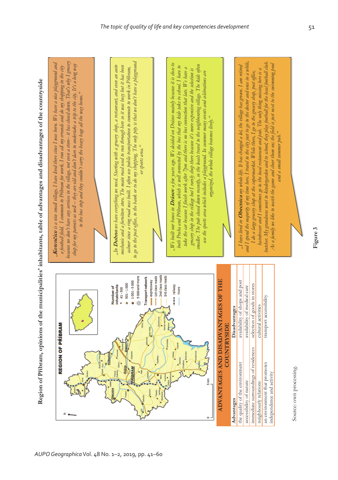**Region of Pőíbram, opinions of the municipalities' inhabitants, table of advantages and disadvantages of the countryside**  Region of Příbram, opinions of the municipalities' inhabitants, table of advantages and disadvantages of the countryside



*AUPO Geographica* Vol. 48 No. 1–2, 2019, pp. 41–60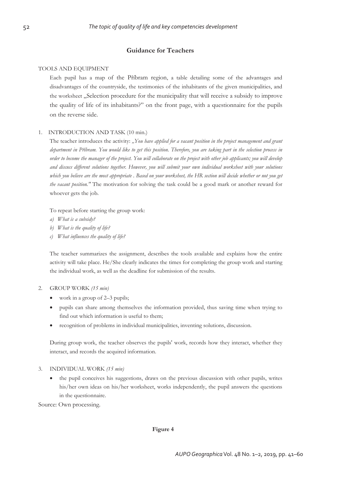### **Guidance for Teachers**

#### TOOLS AND EQUIPMENT

Each pupil has a map of the Pőíbram region, a table detailing some of the advantages and disadvantages of the countryside, the testimonies of the inhabitants of the given municipalities, and the worksheet "Selection procedure for the municipality that will receive a subsidy to improve the quality of life of its inhabitants?" on the front page, with a questionnaire for the pupils on the reverse side.

#### 1. INTRODUCTION AND TASK (10 min.)

The teacher introduces the activity: *"You have applied for a vacant position in the project management and grant department in Pőíbram. You would like to get this position. Therefore, you are taking part in the selection process in order to become the manager of the project. You will collaborate on the project with other job applicants; you will develop and discuss different solutions together. However, you will submit your own individual worksheet with your solutions which you believe are the most appropriate . Based on your worksheet, the HR section will decide whether or not you get the vacant position."* The motivation for solving the task could be a good mark or another reward for whoever gets the job.

To repeat before starting the group work:

- *a) What is a subsidy?*
- *b) What is the quality of life?*
- *c) What influences the quality of life?*

The teacher summarizes the assignment, describes the tools available and explains how the entire activity will take place. He/She clearly indicates the times for completing the group work and starting the individual work, as well as the deadline for submission of the results.

#### 2. GROUP WORK *(15 min)*

- $\bullet$  work in a group of 2–3 pupils;
- x pupils can share among themselves the information provided, thus saving time when trying to find out which information is useful to them;
- x recognition of problems in individual municipalities, inventing solutions, discussion.

During group work, the teacher observes the pupils' work, records how they interact, whether they interact, and records the acquired information.

#### 3. INDIVIDUAL WORK *(15 min)*

the pupil conceives his suggestions, draws on the previous discussion with other pupils, writes his/her own ideas on his/her worksheet, works independently, the pupil answers the questions in the questionnaire.

Source: Own processing.

#### **Figure 4**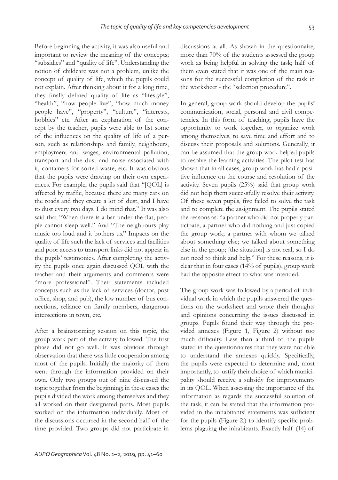Before beginning the activity, it was also useful and important to review the meaning of the concepts; "subsidies" and "quality of life". Understanding the notion of childcare was not a problem, unlike the concept of quality of life, which the pupils could not explain. After thinking about it for a long time, they finally defined quality of life as "lifestyle", "health", "how people live", "how much money people have", "property", "culture", "interests, hobbies" etc. After an explanation of the concept by the teacher, pupils were able to list some of the influences on the quality of life of a person, such as relationships and family, neighbours, employment and wages, environmental pollution, transport and the dust and noise associated with it, containers for sorted waste, etc. It was obvious that the pupils were drawing on their own experiences. For example, the pupils said that "[QOL] is affected by traffic, because there are many cars on the roads and they create a lot of dust, and I have to dust every two days. I do mind that." It was also said that "When there is a bar under the flat, people cannot sleep well." And "The neighbours play music too loud and it bothers us." Impacts on the quality of life such the lack of services and facilities and poor access to transport links did not appear in the pupils' testimonies. After completing the activity the pupils once again discussed QOL with the teacher and their arguments and comments were "more professional". Their statements included concepts such as the lack of services (doctor, post office, shop, and pub), the low number of bus connections, reliance on family members, dangerous intersections in town, etc.

After a brainstorming session on this topic, the group work part of the activity followed. The first phase did not go well. It was obvious through observation that there was little cooperation among most of the pupils. Initially the majority of them went through the information provided on their own. Only two groups out of nine discussed the topic together from the beginning; in these cases the pupils divided the work among themselves and they all worked on their designated parts. Most pupils worked on the information individually. Most of the discussions occurred in the second half of the time provided. Two groups did not participate in

*AUPO Geographica* Vol. 48 No. 1–2, 2019, pp. 41–60

discussions at all. As shown in the questionnaire, more than 70% of the students assessed the group work as being helpful in solving the task; half of them even stated that it was one of the main reasons for the successful completion of the task in the worksheet - the "selection procedure".

In general, group work should develop the pupils' communication, social, personal and civil competencies. In this form of teaching, pupils have the opportunity to work together, to organize work among themselves, to save time and effort and to discuss their proposals and solutions. Generally, it can be assumed that the group work helped pupils to resolve the learning activities. The pilot test has shown that in all cases, group work has had a positive influence on the course and resolution of the activity. Seven pupils (25%) said that group work did not help them successfully resolve their activity. Of these seven pupils, five failed to solve the task and to complete the assignment. The pupils stated the reasons as: "a partner who did not properly participate; a partner who did nothing and just copied the group work; a partner with whom we talked about something else; we talked about something else in the group; [the situation] is not real, so I do not need to think and help." For these reasons, it is clear that in four cases (14% of pupils), group work had the opposite effect to what was intended.

The group work was followed by a period of individual work in which the pupils answered the questions on the worksheet and wrote their thoughts and opinions concerning the issues discussed in groups. Pupils found their way through the provided annexes (Figure 1, Figure 2) without too much difficulty. Less than a third of the pupils stated in the questionnaires that they were not able to understand the annexes quickly. Specifically, the pupils were expected to determine and, most importantly, to justify their choice of which municipality should receive a subsidy for improvements in its QOL. When assessing the importance of the information as regards the successful solution of the task, it can be stated that the information provided in the inhabitants' statements was sufficient for the pupils (Figure 2.) to identify specific problems plaguing the inhabitants. Exactly half (14) of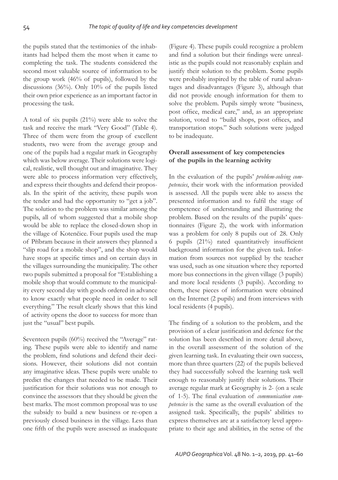the pupils stated that the testimonies of the inhabitants had helped them the most when it came to completing the task. The students considered the second most valuable source of information to be the group work (46% of pupils), followed by the discussions (36%). Only 10% of the pupils listed their own prior experience as an important factor in processing the task.

A total of six pupils (21%) were able to solve the task and receive the mark "Very Good" (Table 4). Three of them were from the group of excellent students, two were from the average group and one of the pupils had a regular mark in Geography which was below average. Their solutions were logical, realistic, well thought out and imaginative. They were able to process information very effectively, and express their thoughts and defend their proposals. In the spirit of the activity, these pupils won the tender and had the opportunity to "get a job". The solution to the problem was similar among the pupils, all of whom suggested that a mobile shop would be able to replace the closed-down shop in the village of Kotenčice. Four pupils used the map of Příbram because in their answers they planned a "slip road for a mobile shop", and the shop would have stops at specific times and on certain days in the villages surrounding the municipality. The other two pupils submitted a proposal for "Establishing a mobile shop that would commute to the municipality every second day with goods ordered in advance to know exactly what people need in order to sell everything." The result clearly shows that this kind of activity opens the door to success for more than just the "usual" best pupils.

Seventeen pupils (60%) received the "Average" rating. These pupils were able to identify and name the problem, find solutions and defend their decisions. However, their solutions did not contain any imaginative ideas. These pupils were unable to predict the changes that needed to be made. Their justification for their solutions was not enough to convince the assessors that they should be given the best marks. The most common proposal was to use the subsidy to build a new business or re-open a previously closed business in the village. Less than one fifth of the pupils were assessed as inadequate (Figure 4). These pupils could recognize a problem and find a solution but their findings were unrealistic as the pupils could not reasonably explain and justify their solution to the problem. Some pupils were probably inspired by the table of rural advantages and disadvantages (Figure 3), although that did not provide enough information for them to solve the problem. Pupils simply wrote "business, post office, medical care," and, as an appropriate solution, voted to "build shops, post offices, and transportation stops." Such solutions were judged to be inadequate.

### **Overall assessment of key competencies of the pupils in the learning activity**

In the evaluation of the pupils' *problem-solving competencies*, their work with the information provided is assessed. All the pupils were able to assess the presented information and to fulfil the stage of competence of understanding and illustrating the problem. Based on the results of the pupils' questionnaires (Figure 2), the work with information was a problem for only 8 pupils out of 28. Only 6 pupils  $(21\%)$  rated quantitatively insufficient background information for the given task. Information from sources not supplied by the teacher was used, such as one situation where they reported more bus connections in the given village (3 pupils) and more local residents (3 pupils). According to them, these pieces of information were obtained on the Internet (2 pupils) and from interviews with local residents (4 pupils).

The finding of a solution to the problem, and the provision of a clear justification and defence for the solution has been described in more detail above, in the overall assessment of the solution of the given learning task. In evaluating their own success, more than three quarters (22) of the pupils believed they had successfully solved the learning task well enough to reasonably justify their solutions. Their average regular mark at Geography is 2- (on a scale of 1-5). The final evaluation of *communication competencies* is the same as the overall evaluation of the assigned task. Specifically, the pupils' abilities to express themselves are at a satisfactory level appropriate to their age and abilities, in the sense of the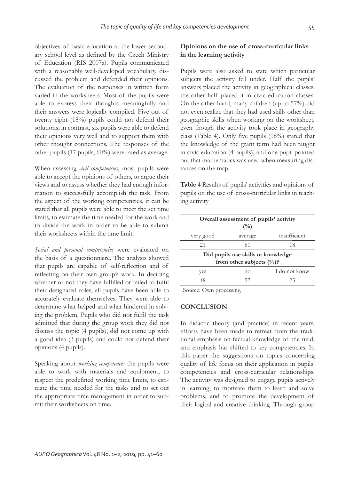objectives of basic education at the lower secondary school level as defined by the Czech Ministry of Education (RIS 2007a). Pupils communicated with a reasonably well-developed vocabulary, discussed the problem and defended their opinions. The evaluation of the responses in written form varied in the worksheets. Most of the pupils were able to express their thoughts meaningfully and their answers were logically compiled. Five out of twenty eight (18%) pupils could not defend their solutions; in contrast, six pupils were able to defend their opinions very well and to support them with other thought connections. The responses of the other pupils (17 pupils, 60%) were rated as average.

When assessing *civil competencies*, most pupils were able to accept the opinions of others, to argue their views and to assess whether they had enough information to successfully accomplish the task. From the aspect of the working competencies, it can be stated that all pupils were able to meet the set time limits, to estimate the time needed for the work and to divide the work in order to be able to submit their worksheets within the time limit.

*Social and personal competencies* were evaluated on the basis of a questionnaire. The analysis showed that pupils are capable of self-reflection and of reflecting on their own group's work. In deciding whether or not they have fulfilled or failed to fulfil their designated roles, all pupils have been able to accurately evaluate themselves. They were able to determine what helped and what hindered in solving the problem. Pupils who did not fulfil the task admitted that during the group work they did not discuss the topic (4 pupils), did not come up with a good idea (3 pupils) and could not defend their opinions (4 pupils).

Speaking about *working competences* the pupils were able to work with materials and equipment, to respect the predefined working time limits, to estimate the time needed for the tasks and to set out the appropriate time management in order to submit their worksheets on time.

# **Opinions on the use of cross-curricular links in the learning activity**

Pupils were also asked to state which particular subjects the activity fell under. Half the pupils' answers placed the activity in geographical classes, the other half placed it in civic education classes. On the other hand, many children (up to 57%) did not even realize that they had used skills other than geographic skills when working on the worksheet, even though the activity took place in geography class (Table 4). Only five pupils  $(18%)$  stated that the knowledge of the grant term had been taught in civic education (4 pupils), and one pupil pointed out that mathematics was used when measuring distances on the map.

**Table 4** Results of pupils' activities and opinions of pupils on the use of cross-curricular links in teaching activity

| Overall assessment of pupils' activity<br>$\binom{0}{0}$ |                                                                    |               |  |  |  |
|----------------------------------------------------------|--------------------------------------------------------------------|---------------|--|--|--|
| very good                                                | average                                                            | insufficient  |  |  |  |
| 21                                                       | 61                                                                 | 18            |  |  |  |
|                                                          | Did pupils use skills or knowledge<br>from other subjects $(\%)$ ? |               |  |  |  |
| yes                                                      | no                                                                 | I do not know |  |  |  |
| 18                                                       |                                                                    | 25            |  |  |  |

Source: Own processing.

### **CONCLUSION**

In didactic theory (and practice) in recent years, efforts have been made to retreat from the traditional emphasis on factual knowledge of the field, and emphasis has shifted to key competencies. In this paper the suggestions on topics concerning quality of life focus on their application in pupils' competencies and cross-curricular relationships. The activity was designed to engage pupils actively in learning, to motivate them to learn and solve problems, and to promote the development of their logical and creative thinking. Through group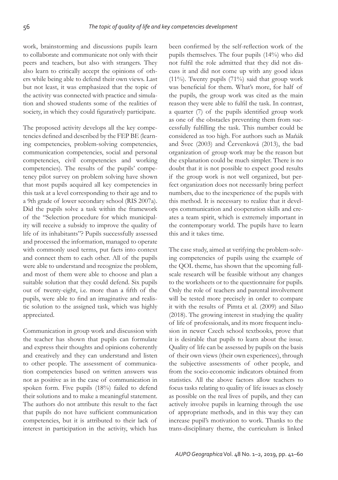work, brainstorming and discussions pupils learn to collaborate and communicate not only with their peers and teachers, but also with strangers. They also learn to critically accept the opinions of others while being able to defend their own views. Last but not least, it was emphasized that the topic of the activity was connected with practice and simulation and showed students some of the realities of society, in which they could figuratively participate.

The proposed activity develops all the key competencies defined and described by the FEP BE (learning competencies, problem-solving competencies, communication competencies, social and personal competencies, civil competencies and working competencies). The results of the pupils' competency pilot survey on problem solving have shown that most pupils acquired all key competencies in this task at a level corresponding to their age and to a 9th grade of lower secondary school (RIS 2007a). Did the pupils solve a task within the framework of the "Selection procedure for which municipality will receive a subsidy to improve the quality of life of its inhabitants"? Pupils successfully assessed and processed the information, managed to operate with commonly used terms, put facts into context and connect them to each other. All of the pupils were able to understand and recognize the problem, and most of them were able to choose and plan a suitable solution that they could defend. Six pupils out of twenty-eight, i.e. more than a fifth of the pupils, were able to find an imaginative and realistic solution to the assigned task, which was highly appreciated.

Communication in group work and discussion with the teacher has shown that pupils can formulate and express their thoughts and opinions coherently and creatively and they can understand and listen to other people. The assessment of communication competencies based on written answers was not as positive as in the case of communication in spoken form. Five pupils (18%) failed to defend their solutions and to make a meaningful statement. The authors do not attribute this result to the fact that pupils do not have sufficient communication competencies, but it is attributed to their lack of interest in participation in the activity, which has been confirmed by the self-reflection work of the pupils themselves. The four pupils (14%) who did not fulfil the role admitted that they did not discuss it and did not come up with any good ideas (11%). Twenty pupils (71%) said that group work was beneficial for them. What's more, for half of the pupils, the group work was cited as the main reason they were able to fulfil the task. In contrast, a quarter (7) of the pupils identified group work as one of the obstacles preventing them from successfully fulfilling the task. This number could be considered as too high. For authors such as Maňák and Švec (2003) and Červenková (2013), the bad organization of group work may be the reason but the explanation could be much simpler. There is no doubt that it is not possible to expect good results if the group work is not well organized, but perfect organization does not necessarily bring perfect numbers, due to the inexperience of the pupils with this method. It is necessary to realize that it develops communication and cooperation skills and creates a team spirit, which is extremely important in the contemporary world. The pupils have to learn this and it takes time.

The case study, aimed at verifying the problem-solving competencies of pupils using the example of the QOL theme, has shown that the upcoming fullscale research will be feasible without any changes to the worksheets or to the questionnaire for pupils. Only the role of teachers and parental involvement will be tested more precisely in order to compare it with the results of Pimta et al. (2009) and Silao (2018). The growing interest in studying the quality of life of professionals, and its more frequent inclusion in newer Czech school textbooks, prove that it is desirable that pupils to learn about the issue. Quality of life can be assessed by pupils on the basis of their own views (their own experiences), through the subjective assessments of other people, and from the socio-economic indicators obtained from statistics. All the above factors allow teachers to focus tasks relating to quality of life issues as closely as possible on the real lives of pupils, and they can actively involve pupils in learning through the use of appropriate methods, and in this way they can increase pupil's motivation to work. Thanks to the trans-disciplinary theme, the curriculum is linked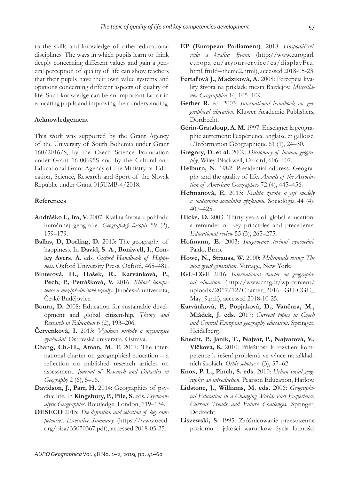to the skills and knowledge of other educational disciplines. The ways in which pupils learn to think deeply concerning different values and gain a general perception of quality of life can show teachers that their pupils have their own value systems and opinions concerning different aspects of quality of life. Such knowledge can be an important factor in educating pupils and improving their understanding.

#### **Acknowledgement**

This work was supported by the Grant Agency of the University of South Bohemia under Grant 160/2016/S, by the Czech Science Foundation under Grant 16-00695S and by the Cultural and Educational Grant Agency of the Ministry of Education, Science, Research and Sport of the Slovak Republic under Grant 015UMB-4/2018.

#### **References**

- **Andráško I., Ira, V.** 2007: Kvalita života z pohľadu humánnej geografie. *Geografický časopis* 59 (2), 159–179.
- **Ballas, D, Dorling, D.** 2013: The geography of happiness. In **David, S. A.**, **Boniwell, I.**, **Conley Ayers**, **A**. eds. *Oxford Handbook of Happiness*. Oxford University Press, Oxford, 465–481.
- **Binterová, H., Hašek, R., Karvánková, P., Pech, P., Petrášková, V.** 2016: *Klíčové kompetence a mezipředmětové vztahy*. Jihočeská univerzita, České Budějovice.
- **Bourn, D.** 2008: Education for sustainable development and global citizenship. *Theory and Research in Education* 6 (2), 193–206.
- **Červenková, I.** 2013: *Výukové metody a organizace vyučování*. Ostravská univerzita, Ostrava.
- **Chang, Ch.-H., Aman, M. F.** 2017: The international charter on geographical education – a reflection on published research articles on assessment. *Journal of Research and Didactics in Geography* 2 (6), 5–16.
- **Davidson, J., Parr, H.** 2014: Geographies of psychic life. In **Kingsbury, P., Pile, S.** eds. *Psychoanalytic Geographies*. Routledge, London, 119–134.
- **DESECO** 2015: The definition and selection of key com*petencies*. *Executive Summary.* (https://www.oecd. org/pisa/35070367.pdf), accessed 2018-05-25.
- **EP (European Parliament)**. 2018: *Hospodářství, věda a kvalita života.* (http://www.europarl. europa.eu/atyourservice/cs/displayFtu. html?ftuId=theme2.html), accessed 2018-05-23.
- **Fertaľová J., Madziková, A.** 2008: Percepcia kvality života na príklade mesta Bardejov. *Misceillanea Geographica* 14, 105–109.
- **Gerber R.** ed. 2003: *International handbook on geographical education*. Kluwer Academic Publishers, Dordrecht.
- **Gérin-Grataloup, A. M**. 1997: Enseigner la géographie autrement: l'expérience anglaise et galloise. L'Information Géographique 61 (1), 24–30.
- **Gregory, D. et al.** 2009: *Dictionary of human geography*. Wiley-Blackwell, Oxford, 606–607.
- **Helburn, N.** 1982: Presidential address: Geography and the quality of life. *Annals of the Association of American Geographers* 72 (4), 445–456.
- **Heřmanová, E.** 2013: *Kvalita života a její modely v současném sociálním výzkumu*. Sociológia 44 (4), 407–425.
- **Hicks, D.** 2003: Thirty years of global education: a reminder of key principles and precedents. *Educational review* 55 (3), 265–275.
- **Hofmann, E.** 2003: *Integrované terénní vyučování*. Paido, Brno.
- **Howe, N., Strauss, W.** 2000: *Millennials rising: The next great generation*. Vintage, New York.
- **IGU-CGE** 2016: *International charter on geographical education.* (http://www.cnfg.fr/wp-content/ uploads/2017/12/Charter\_2016-IGU-CGE\_ May\_9.pdf), accessed 2018-10-25.
- **Karvánková, P., Popjaková, D., Vančura, M., Mládek, J. eds.** 2017: *Current topics in Czech and Central European geography education*. Springer, Heidelberg.
- **Knecht, P., Janík, T., Najvar, P., Najvarová, V., Vlčková, K.** 2010: Příležitosti k rozvíjení kompetence k řešení problémů ve výuce na základních školách. *Orbis scholae* 4 (3), 37–62.
- **Knox, P. L., Pinch, S. eds.** 2010: *Urban social geography: an introduction*. Pearson Education, Harlow.
- **Lidstone, J., Williams, M. eds.** 2006: *Geographical Education in a Changing World: Past Experience, Current Trends and Future Challenges*. Springer, Dodrecht.
- **Liszewski, S.** 1995: Zróżnicowanie przestrzenne poziomu i jakości warunków życia ludności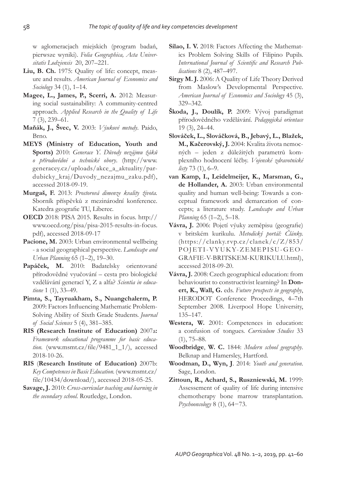w aglomeracjach miejskich (program badań, pierwsze wyniki). *Folia Geographica, Acta Universitatis Lodziensis* 20, 207–221.

- **Liu, B. Ch.** 1975: Quality of life: concept, measure and results. *American Journal of Economics and Socio logy* 34 (1), 1–14.
- **Magee, L., James, P., Scerri, A.** 2012: Measuring social sustainability: A community-centred approach. *Applied Research in the Quality of Life* 7 (3), 239–61.
- **Maňák, J., Švec, V.** 2003: *Výukové metody*. Paido, Brno.
- **MEYS (Ministry of Education, Youth and Sports)** 2010: *Generace Y. Důvody nezájmu žáků o přírodovědné a technické obory*. (http://www. generacey.cz/uploads/akce\_a\_aktuality/pardubicky\_kraj/Duvody\_nezajmu\_zaku.pdf), accessed 2018-09-19.
- **Murgaš, F.** 2013: *Prostorová dimenze kvality života.* Sborník příspěvků z mezinárodní konference. Katedra geografie TU, Liberec.
- **OECD** 2018: PISA 2015. Results in focus. http:// www.oecd.org/pisa/pisa-2015-results-in-focus. pdf), accessed 2018-09-17
- Pacione, M. 2003: Urban environmental wellbeing - a social geographical perspective. *Landscape and Urban Planning* 65 (1–2), 19–30.
- **Papáček, M.** 2010: Badatelsky orientované přírodovědné vyučování – cesta pro biologické vzdělávání generací Y, Z a alfa? *Scientia in educatione* 1 (1), 33–49.
- **Pimta, S., Tayruakham, S., Nuangchalerm, P.**  2009: Factors Influencing Mathematic Problem-Solving Ability of Sixth Grade Students. *Journal of Social Sciences* 5 (4), 381–385.
- **RIS (Research Institute of Education)** 2007a**:** *Framework educational programme for basic education.* (www.msmt.cz/file/9481\_1\_1/), accessed 2018-10-26.
- **RIS** (**Research Institute of Education)** 2007b: *Key Competences in Basic Education.* (www.msmt.cz/ file/10434/download/), accessed 2018-05-25.
- **Savage, J.** 2010: *Cross-curricular teaching and learning in the secondary school.* Routledge, London.
- **Silao, I. V.** 2018: Factors Affecting the Mathematics Problem Solving Skills of Filipino Pupils. International Journal of Scientific and Research Pub*lications* 8 (2), 487–497.
- **Sirgy M. J.** 2006: A Quality of Life Theory Derived from Maslow's Developmental Perspective. *American Journal of Economics and Sociology* 45 (3), 329–342.
- **Škoda, J., Doulík, P.** 2009: Vývoj paradigmat přírodovědného vzdělávání. *Pedagogická orientace* 19 (3), 24–44.
- **Slováček, L., Slováčková, B., Jebavý, L., Blažek, M., Kačerovský, J.** 2004: Kvalita života nemocných – jeden z důležitých parametrů komplexního hodnocení léčby. *Vojenské zdravotnické listy* 73 (1), 6–9.
- **van Kamp, I., Leidelmeijer, K., Marsman, G., de Hollander, A.** 2003: Urban environmental quality and human well-being: Towards a conceptual framework and demarcation of concepts; a literature study. *Landscape and Urban Planning* 65 (1–2), 5–18.
- **Vávra, J.** 2006: Pojetí výuky zeměpisu (geografie) v britském kurikulu. *Metodický portál: Články.* (https://clanky.rvp.cz/clanek/c/Z/853/ POJETI-VYUKY-ZEMEPISU-GEO-GRAFIE-V-BRITSKEM-KURIKULU.html), accessed 2018-09-20.
- **Vávra, J.** 2008: Czech geographical education: from behaviourist to constructivist learning? In **Donert, K., Wall, G.** eds. *Future prospects in geography*, HERODOT Conference Proceedings, 4–7th September 2008. Liverpool Hope University, 135–147.
- **Westera, W.** 2001: Competences in education: a confusion of tongues. *Curriculum Studies* 33  $(1), 75-88.$
- **Woodbridge**, **W. C.** 1844: *Modern school geography*. Belknap and Hamersley, Hartford.
- **Woodman, D., Wyn, J**. 2014: *Youth and generation*. Sage, London.
- **Zittoun, R., Achard, S., Ruszniewski, M.** 1999: Assessement of quality of life during intensive chemotherapy bone marrow transplantation. *Psychooncology* 8 (1), 64−73.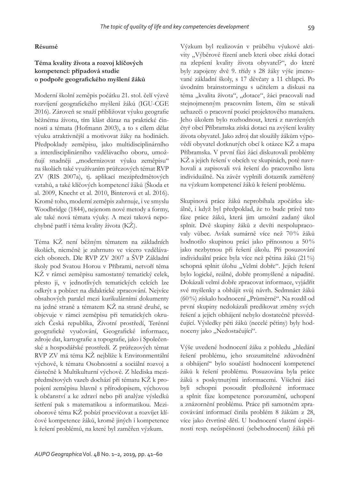### **Résumé**

# **Téma kvality života a rozvoj klíčových kompetencí: případová studie o podpoře geografi ckého myšlení žáků**

Moderní školní zeměpis počátku 21. stol. čelí výzvě rozvíjení geografického myšlení žáků (IGU-CGE 2016). Zároveň se snaží přibližovat výuku geografie běžnému životu, tím klást důraz na praktické činnosti a témata (Hofmann 2003), a to s cílem dělat výuku atraktivnější a motivovat žáky na hodinách. Předpoklady zeměpisu, jako multidisciplinárního a interdisciplinárního vzdělávacího oboru, umožňují snadněji "modernizovat výuku zeměpisu" na školách také využívaním průřezových témat RVP ZV (RIS 2007a), tj. aplikací mezipředmětových vztahů, a také klíčových kompetencí žáků (Škoda et al. 2009, Knecht et al. 2010, Binterová et al. 2016). Kromě toho, moderní zeměpis zahrnuje, i ve smyslu Woodbridge (1844), nejenom nové metody a formy, ale také nová témata výuky. A mezi taková nepochybně patří i téma kvality života (KŽ).

Téma KŽ není běžným tématem na základních školách, nicméně je zahrnuto ve vícero vzdělávacích oborech. Dle RVP ZV 2007 a ŠVP Základní školy pod Svatou Horou v Příbrami, netvoří téma KŽ v rámci zeměpisu samostatný tematický celek, přesto ji, v jednotlivých tematických celcích lze odkrýt a pobízet na didaktické zpracování. Nejvíce obsahových paralel mezi kurikulárními dokumenty na jedné straně a tématem KŽ na straně druhé, se objevuje v rámci zeměpisu při tematických okruzích Česká republika, Životní prostředí, Terénní geografické vyučování, Geografické informace, zdroje dat, kartografie a topografie, jako i Společenské a hospodářské prostředí. Z průřezových témat RVP ZV má téma KŽ nejblíže k Environmentální výchově, k tématu Osobnostní a sociální rozvoj a částečně k Multikulturní výchově. Z hlediska mezipředmětových vazeb dochází při tématu KŽ k propojení zeměpisu hlavně s přírodopisem, výchovou k občanství a ke zdraví nebo při analýze výsledků šetření pak s matematikou a informatikou. Mezioborové téma KŽ pobízí procvičovat a rozvíjet klíčové kompetence žáků, kromě jiných i kompetence k řešení problémů, na které byl zaměřen výzkum.

Výzkum byl realizován v průběhu výukové aktivity "Výběrové řízení aneb která obec získá dotaci na zlepšení kvality života obyvatel?", do které byly zapojeny dvě 9. třídy s 28 žáky výše jmenované základní školy, s 17 děvčaty a 11 chlapci. Po úvodním brainstormingu s učitelem a diskusi na téma "kvalita života", "dotace", žáci pracovali nad stejnojmenným pracovním listem, čím se stávali uchazeči o pracovní pozici projektového manažera. Jeho úkolem bylo rozhodnout, která z navržených čtyř obcí Příbramska získá dotaci na zvýšení kvality života obyvatel. Jako zdroj dat sloužily žákům výpovědi obyvatel dotknutých obcí k otázce KŽ a mapa Příbramska. V první fázi žáci diskutovali problémy KŽ a jejich řešení v obcích ve skupinách, poté navrhovali a zapisovali svá řešení do pracovního listu individuálně. Na závěr vyplnili dotazník zaměřený na výzkum kompetencí žáků k řešení problému.

Skupinová práce žáků neprobíhala zpočátku ideálně, i když byl předpoklad, že to bude právě tato fáze práce žáků, která jim umožní zadaný úkol splnit. Dvě skupiny žáků z devíti nespolupracovaly vůbec. Avšak sumárně více než 70 % žáků hodnotilo skupinou práci jako přínosnou a 50 % jako nezbytnou při řešení úkolu. Při posuzování individuální práce byla více než pětina žáků (21 %) schopná splnit úlohu "Velmi dobře". Jejich řešení bylo logické, reálné, dobře promyšlené a nápadité. Dokázali velmi dobře zpracovat informace, vyjádřit své myšlenky a obhájit svůj návrh. Sedmnáct žáků (60%) získalo hodnocení "Průměrné". Na rozdíl od první skupiny nedokázali predikovat změny svých řešení a jejich obhájení nebylo dostatečně přesvědčující. Výsledky pěti žáků (necelé pětiny) byly hodnoceny jako "Nedostačující".

Výše uvedené hodnocení žáku z pohledu "hledání řešení problému, jeho srozumitelné zdůvodnění a obhájení" bylo součástí hodnocení kompetencí žáků k řešení problému. Posuzována byla práce žáků s poskytnutými informacemi. Všichni žáci byli schopni posoudit předložené informace a splnit fáze kompetence porozumění, uchopení a znázornění problému. Práce při samotném zpracovávání informací činila problém 8 žákům z 28, více jako čtvrtině dětí. U hodnocení vlastní úspěšnosti resp. neúspěšnosti (sebehodnocení) žáků při